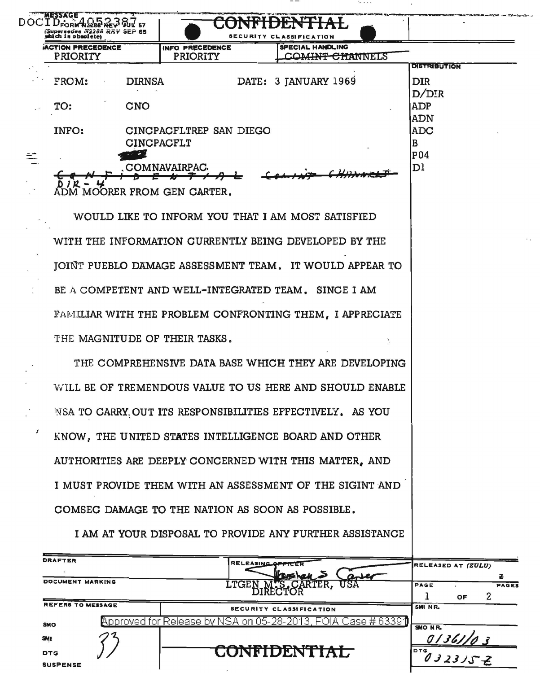| is obmolete)            |                   |                               |                   | <b>SSIFICATION</b>                                        |                      |                       |
|-------------------------|-------------------|-------------------------------|-------------------|-----------------------------------------------------------|----------------------|-----------------------|
| <b>CTION PRECEDENCE</b> |                   | INFO PRECEDENCE               |                   | <b>SPECIAL HANDLING</b><br><b>COMINA</b>                  |                      |                       |
| <b>PRIORITY</b>         |                   | <b>PRIORITY</b>               |                   |                                                           | <del>CHANNE</del> LS | <b>DISTRIBUTION</b>   |
| FROM:                   | <b>DIRNSA</b>     |                               |                   | DATE: 3 JANUARY 1969                                      |                      | <b>DIR</b>            |
|                         |                   |                               |                   |                                                           |                      | D/DIR                 |
| TO:                     | <b>CNO</b>        |                               |                   |                                                           |                      | <b>ADP</b>            |
|                         |                   |                               |                   |                                                           |                      | <b>ADN</b>            |
| INFO:                   |                   | CINCPACFLTREP SAN DIEGO       |                   |                                                           |                      | <b>ADC</b>            |
|                         | <b>CINCPACFLT</b> |                               |                   |                                                           |                      | B                     |
|                         |                   |                               |                   |                                                           |                      | P04<br>D <sub>1</sub> |
|                         |                   | <b>COMNAVAIRPAC</b>           |                   |                                                           |                      |                       |
|                         |                   | ADM MOORER FROM GEN CARTER.   |                   |                                                           |                      |                       |
|                         |                   |                               |                   |                                                           |                      |                       |
|                         |                   |                               |                   | WOULD LIKE TO INFORM YOU THAT I AM MOST SATISFIED         |                      |                       |
|                         |                   |                               |                   |                                                           |                      |                       |
|                         |                   |                               |                   | WITH THE INFORMATION CURRENTLY BEING DEVELOPED BY THE     |                      |                       |
|                         |                   |                               |                   | JOINT PUEBLO DAMAGE ASSESSMENT TEAM. IT WOULD APPEAR TO   |                      |                       |
|                         |                   |                               |                   |                                                           |                      |                       |
|                         |                   |                               |                   | BE A COMPETENT AND WELL-INTEGRATED TEAM. SINCE I AM       |                      |                       |
|                         |                   |                               |                   |                                                           |                      |                       |
|                         |                   |                               |                   | FAMILIAR WITH THE PROBLEM CONFRONTING THEM, I APPRECIATE  |                      |                       |
|                         |                   | THE MAGNITUDE OF THEIR TASKS. |                   |                                                           |                      |                       |
|                         |                   |                               |                   |                                                           |                      |                       |
|                         |                   |                               |                   | THE COMPREHENSIVE DATA BASE WHICH THEY ARE DEVELOPING     |                      |                       |
|                         |                   |                               |                   |                                                           |                      |                       |
|                         |                   |                               |                   | WILL BE OF TREMENDOUS VALUE TO US HERE AND SHOULD ENABLE  |                      |                       |
|                         |                   |                               |                   | NSA TO CARRY OUT ITS RESPONSIBILITIES EFFECTIVELY. AS YOU |                      |                       |
|                         |                   |                               |                   |                                                           |                      |                       |
|                         |                   |                               |                   | KNOW, THE UNITED STATES INTELLIGENCE BOARD AND OTHER      |                      |                       |
|                         |                   |                               |                   |                                                           |                      |                       |
|                         |                   |                               |                   | AUTHORITIES ARE DEEPLY CONCERNED WITH THIS MATTER, AND    |                      |                       |
|                         |                   |                               |                   | I MUST PROVIDE THEM WITH AN ASSESSMENT OF THE SIGINT AND  |                      |                       |
|                         |                   |                               |                   |                                                           |                      |                       |
|                         |                   |                               |                   | COMSEC DAMAGE TO THE NATION AS SOON AS POSSIBLE.          |                      |                       |
|                         |                   |                               |                   |                                                           |                      |                       |
|                         |                   |                               |                   | I AM AT YOUR DISPOSAL TO PROVIDE ANY FURTHER ASSISTANCE   |                      |                       |
| RAFTER                  |                   |                               |                   |                                                           |                      |                       |
|                         |                   |                               | RELEASING OFFICER |                                                           |                      | RELEASED AT (ZULU)    |

| ------                   | <b>IRELEASING OPPICER</b>                                                         |            | RELEASED AT (ZULU) |              |
|--------------------------|-----------------------------------------------------------------------------------|------------|--------------------|--------------|
|                          | <b>POSTAL</b>                                                                     |            |                    |              |
| DOCUMENT MARKING         | <b>LTGEN</b><br>MYS.CARTER,<br>IRECTOR<br>USA                                     | PAGE       |                    | <b>PAGES</b> |
|                          |                                                                                   |            | <b>OF</b>          |              |
| <b>REFERS TO MESSAGE</b> | SECURITY CLASSIFICATION                                                           | SMI NR.    |                    |              |
| <b>SMO</b>               | <code>Approved</code> for Release by NSA on 05-28-2013, FOIA Case # 6339 $\bm{1}$ | SMO NR.    |                    |              |
| <b>SMI</b>               |                                                                                   |            |                    |              |
| <b>DTG</b>               | <b>COLIBIDDI THE 4 Y</b><br>JNFIDENTIAL                                           | <b>DTG</b> | 032315Z            |              |
| <b>SUSPENSE</b>          |                                                                                   |            |                    |              |